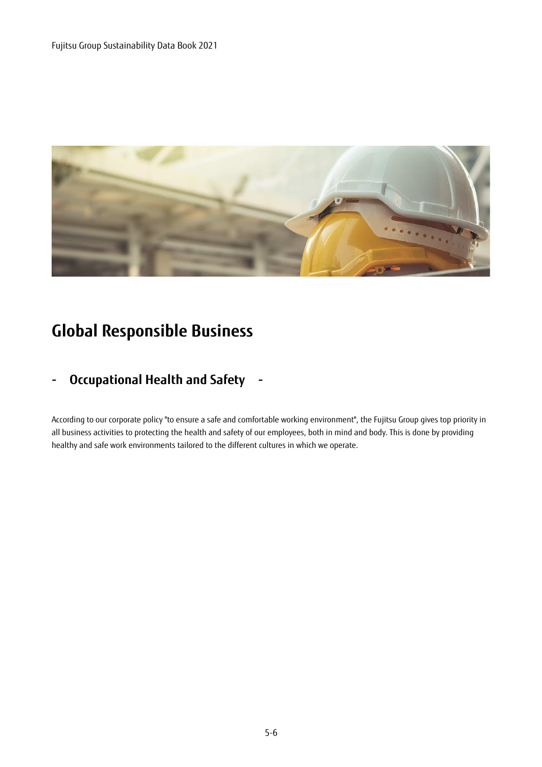

# **Global Responsible Business**

#### **- Occupational Health and Safety -**

According to our corporate policy "to ensure a safe and comfortable working environment", the Fujitsu Group gives top priority in all business activities to protecting the health and safety of our employees, both in mind and body. This is done by providing healthy and safe work environments tailored to the different cultures in which we operate.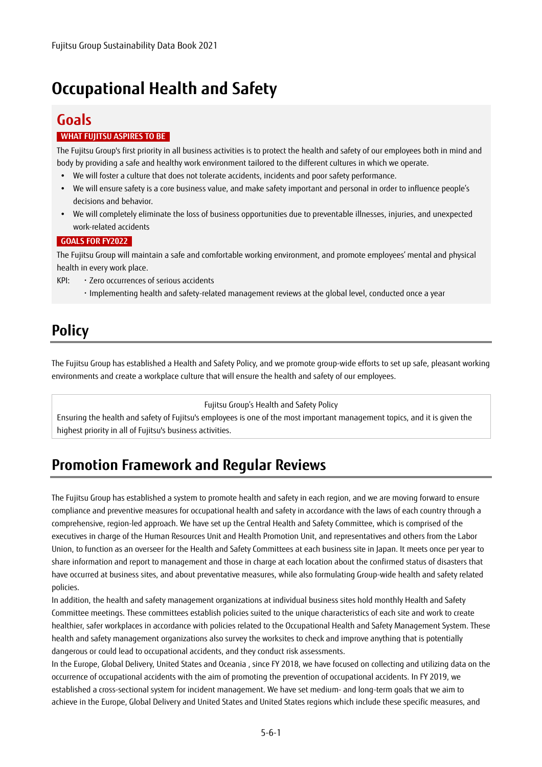## **Occupational Health and Safety**

### **Goals**

#### **WHAT FUJITSU ASPIRES TO BE**

The Fujitsu Group's first priority in all business activities is to protect the health and safety of our employees both in mind and body by providing a safe and healthy work environment tailored to the different cultures in which we operate.

- We will foster a culture that does not tolerate accidents, incidents and poor safety performance.
- We will ensure safety is a core business value, and make safety important and personal in order to influence people's decisions and behavior.
- We will completely eliminate the loss of business opportunities due to preventable illnesses, injuries, and unexpected work-related accidents

#### **GOALS FOR FY2022**

The Fujitsu Group will maintain a safe and comfortable working environment, and promote employees' mental and physical health in every work place.

KPI: ・Zero occurrences of serious accidents

・Implementing health and safety-related management reviews at the global level, conducted once a year

### **Policy**

The Fujitsu Group has established a Health and Safety Policy, and we promote group-wide efforts to set up safe, pleasant working environments and create a workplace culture that will ensure the health and safety of our employees.

Fujitsu Group's Health and Safety Policy

Ensuring the health and safety of Fujitsu's employees is one of the most important management topics, and it is given the highest priority in all of Fujitsu's business activities.

### **Promotion Framework and Regular Reviews**

The Fujitsu Group has established a system to promote health and safety in each region, and we are moving forward to ensure compliance and preventive measures for occupational health and safety in accordance with the laws of each country through a comprehensive, region-led approach. We have set up the Central Health and Safety Committee, which is comprised of the executives in charge of the Human Resources Unit and Health Promotion Unit, and representatives and others from the Labor Union, to function as an overseer for the Health and Safety Committees at each business site in Japan. It meets once per year to share information and report to management and those in charge at each location about the confirmed status of disasters that have occurred at business sites, and about preventative measures, while also formulating Group-wide health and safety related policies.

In addition, the health and safety management organizations at individual business sites hold monthly Health and Safety Committee meetings. These committees establish policies suited to the unique characteristics of each site and work to create healthier, safer workplaces in accordance with policies related to the Occupational Health and Safety Management System. These health and safety management organizations also survey the worksites to check and improve anything that is potentially dangerous or could lead to occupational accidents, and they conduct risk assessments.

In the Europe, Global Delivery, United States and Oceania , since FY 2018, we have focused on collecting and utilizing data on the occurrence of occupational accidents with the aim of promoting the prevention of occupational accidents. In FY 2019, we established a cross-sectional system for incident management. We have set medium- and long-term goals that we aim to achieve in the Europe, Global Delivery and United States and United States regions which include these specific measures, and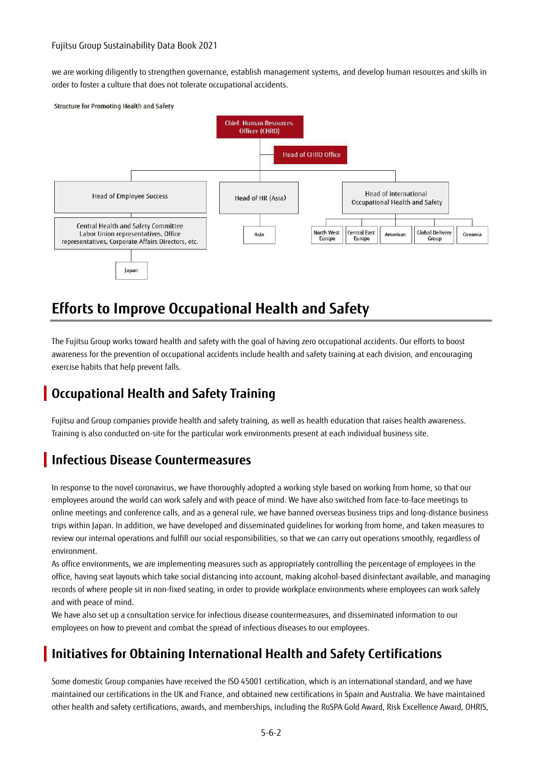we are working diligently to strengthen governance, establish management systems, and develop human resources and skills in order to foster a culture that does not tolerate occupational accidents.



## **Efforts to Improve Occupational Health and Safety**

The Fujitsu Group works toward health and safety with the goal of having zero occupational accidents. Our efforts to boost awareness for the prevention of occupational accidents include health and safety training at each division, and encouraging exercise habits that help prevent falls.

#### **Occupational Health and Safety Training**

Fujitsu and Group companies provide health and safety training, as well as health education that raises health awareness. Training is also conducted on-site for the particular work environments present at each individual business site.

#### **Infectious Disease Countermeasures**

In response to the novel coronavirus, we have thoroughly adopted a working style based on working from home, so that our employees around the world can work safely and with peace of mind. We have also switched from face-to-face meetings to online meetings and conference calls, and as a general rule, we have banned overseas business trips and long-distance business trips within Japan. In addition, we have developed and disseminated guidelines for working from home, and taken measures to review our internal operations and fulfill our social responsibilities, so that we can carry out operations smoothly, regardless of environment.

As office environments, we are implementing measures such as appropriately controlling the percentage of employees in the office, having seat layouts which take social distancing into account, making alcohol-based disinfectant available, and managing records of where people sit in non-fixed seating, in order to provide workplace environments where employees can work safely and with peace of mind.

We have also set up a consultation service for infectious disease countermeasures, and disseminated information to our employees on how to prevent and combat the spread of infectious diseases to our employees.

#### **Initiatives for Obtaining International Health and Safety Certifications**

Some domestic Group companies have received the ISO 45001 certification, which is an international standard, and we have maintained our certifications in the UK and France, and obtained new certifications in Spain and Australia. We have maintained other health and safety certifications, awards, and memberships, including the RoSPA Gold Award, Risk Excellence Award, OHRIS,